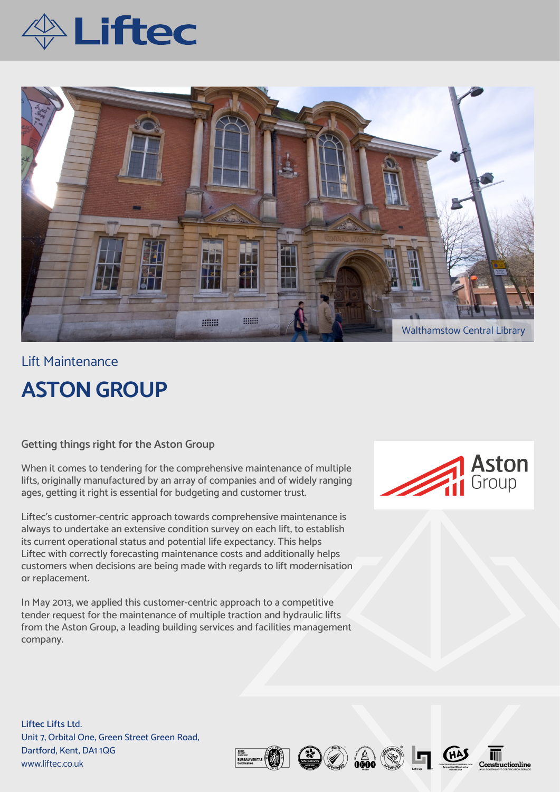



## Lift Maintenance **ASTON GROUP**

**Getting things right for the Aston Group** 

When it comes to tendering for the comprehensive maintenance of multiple lifts, originally manufactured by an array of companies and of widely ranging ages, getting it right is essential for budgeting and customer trust.

Liftec's customer-centric approach towards comprehensive maintenance is always to undertake an extensive condition survey on each lift, to establish its current operational status and potential life expectancy. This helps Liftec with correctly forecasting maintenance costs and additionally helps customers when decisions are being made with regards to lift modernisation or replacement.

In May 2013, we applied this customer-centric approach to a competitive tender request for the maintenance of multiple traction and hydraulic lifts from the Aston Group, a leading building services and facilities management company.



**Liftec Lifts Lt**d. Unit 7, Orbital One, Green Street Green Road, Dartford, Kent, DA1 1QG www.liftec.co.uk